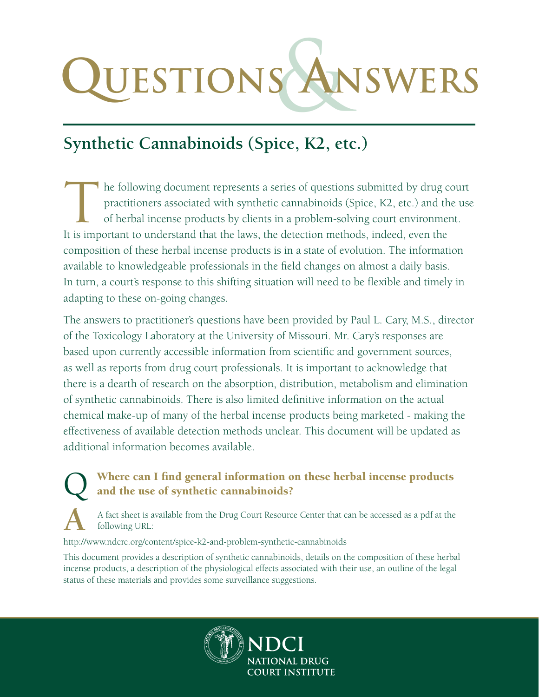# **Questions**& **Answers**

## **Synthetic Cannabinoids (Spice, K2, etc.)**

The following document represents a series of questions submitted by drug court practitioners associated with synthetic cannabinoids (Spice, K2, etc.) and the use of herbal incense products by clients in a problem-solving practitioners associated with synthetic cannabinoids (Spice, K2, etc.) and the use of herbal incense products by clients in a problem-solving court environment. It is important to understand that the laws, the detection methods, indeed, even the composition of these herbal incense products is in a state of evolution. The information available to knowledgeable professionals in the field changes on almost a daily basis. In turn, a court's response to this shifting situation will need to be flexible and timely in adapting to these on-going changes.

The answers to practitioner's questions have been provided by Paul L. Cary, M.S., director of the Toxicology Laboratory at the University of Missouri. Mr. Cary's responses are based upon currently accessible information from scientific and government sources, as well as reports from drug court professionals. It is important to acknowledge that there is a dearth of research on the absorption, distribution, metabolism and elimination of synthetic cannabinoids. There is also limited definitive information on the actual chemical make-up of many of the herbal incense products being marketed - making the effectiveness of available detection methods unclear. This document will be updated as additional information becomes available.

#### Where can I find general information on these herbal incense products and the use of synthetic cannabinoids?

**A** A fact sheet is available from the Drug Court Resource Center that can be accessed as a pdf at the following URL:

http://www.ndcrc.org/content/spice-k2-and-problem-synthetic-cannabinoids

This document provides a description of synthetic cannabinoids, details on the composition of these herbal incense products, a description of the physiological effects associated with their use, an outline of the legal status of these materials and provides some surveillance suggestions.

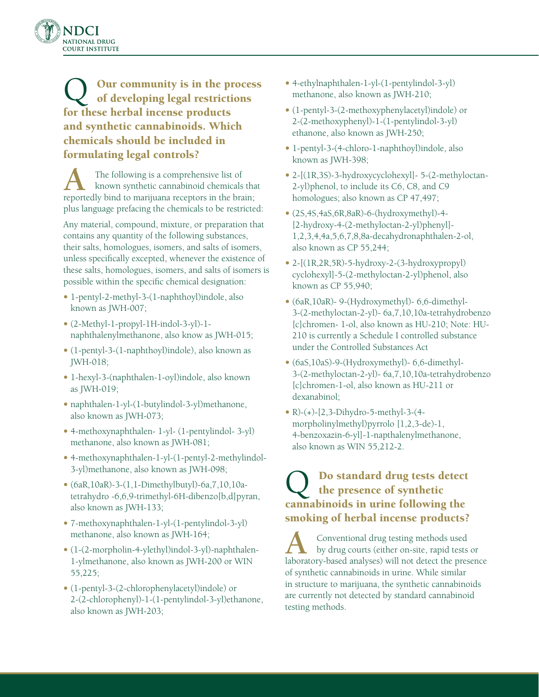

Q Our community is in the process of developing legal restrictions for these herbal incense products and synthetic cannabinoids. Which chemicals should be included in formulating legal controls?

The following is a comprehensive list of known synthetic cannabinoid chemicals that reportedly bind to marijuana receptors in the brain; plus language prefacing the chemicals to be restricted:

Any material, compound, mixture, or preparation that contains any quantity of the following substances, their salts, homologues, isomers, and salts of isomers, unless specifically excepted, whenever the existence of these salts, homologues, isomers, and salts of isomers is possible within the specific chemical designation:

- 1-pentyl-2-methyl-3-(1-naphthoyl)indole, also known as JWH-007;
- (2-Methyl-1-propyl-1H-indol-3-yl)-1 naphthalenylmethanone, also know as JWH-015;
- (1-pentyl-3-(1-naphthoyl)indole), also known as JWH-018;
- 1-hexyl-3-(naphthalen-1-oyl)indole, also known as JWH-019;
- naphthalen-1-yl-(1-butylindol-3-yl)methanone, also known as JWH-073;
- 4-methoxynaphthalen- 1-yl- (1-pentylindol- 3-yl) methanone, also known as JWH-081;
- 4-methoxynaphthalen-1-yl-(1-pentyl-2-methylindol-3-yl)methanone, also known as JWH-098;
- $\bullet$  (6aR, 10aR)-3-(1, 1-Dimethylbutyl)-6a, 7, 10, 10atetrahydro -6,6,9-trimethyl-6H-dibenzo[b,d]pyran, also known as JWH-133;
- 7-methoxynaphthalen-1-yl-(1-pentylindol-3-yl) methanone, also known as JWH-164;
- (1-(2-morpholin-4-ylethyl)indol-3-yl)-naphthalen-1-ylmethanone, also known as JWH-200 or WIN 55,225;
- (1-pentyl-3-(2-chlorophenylacetyl)indole) or 2-(2-chlorophenyl)-1-(1-pentylindol-3-yl)ethanone, also known as JWH-203;
- 4-ethylnaphthalen-1-yl-(1-pentylindol-3-yl) methanone, also known as JWH-210;
- (1-pentyl-3-(2-methoxyphenylacetyl)indole) or 2-(2-methoxyphenyl)-1-(1-pentylindol-3-yl) ethanone, also known as JWH-250;
- 1-pentyl-3-(4-chloro-1-naphthoyl)indole, also known as JWH-398;
- 2-[(1R,3S)-3-hydroxycyclohexyl]- 5-(2-methyloctan-2-yl)phenol, to include its C6, C8, and C9 homologues; also known as CP 47,497;
- (2S,4S,4aS,6R,8aR)-6-(hydroxymethyl)-4- [2-hydroxy-4-(2-methyloctan-2-yl)phenyl]- 1,2,3,4,4a,5,6,7,8,8a-decahydronaphthalen-2-ol, also known as CP 55,244;
- 2-[(1R,2R,5R)-5-hydroxy-2-(3-hydroxypropyl) cyclohexyl]-5-(2-methyloctan-2-yl)phenol, also known as CP 55,940;
- (6aR,10aR)- 9-(Hydroxymethyl)- 6,6-dimethyl-3-(2-methyloctan-2-yl)- 6a,7,10,10a-tetrahydrobenzo [c]chromen- 1-ol, also known as HU-210; Note: HU-210 is currently a Schedule I controlled substance under the Controlled Substances Act
- (6aS,10aS)-9-(Hydroxymethyl)- 6,6-dimethyl-3-(2-methyloctan-2-yl)- 6a,7,10,10a-tetrahydrobenzo [c]chromen-1-ol, also known as HU-211 or dexanabinol;
- R)- $(+)$ -[2,3-Dihydro-5-methyl-3- $(4$ morpholinylmethyl)pyrrolo [1,2,3-de)-1, 4-benzoxazin-6-yl]-1-napthalenylmethanone, also known as WIN 55,212-2.

## Q Do standard drug tests detect the presence of synthetic cannabinoids in urine following the smoking of herbal incense products?

**A** Conventional drug testing methods used<br>by drug courts (either on-site, rapid tests or laboratory-based analyses) will not detect the presence of synthetic cannabinoids in urine. While similar in structure to marijuana, the synthetic cannabinoids are currently not detected by standard cannabinoid testing methods.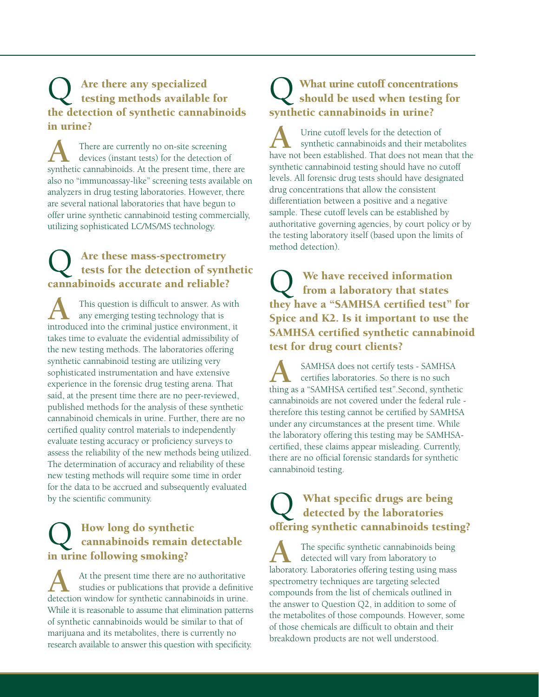## Q Are there any specialized testing methods available for the detection of synthetic cannabinoids in urine?

There are currently no on-site screening<br>devices (instant tests) for the detection of<br>experiments of the present time, there synthetic cannabinoids. At the present time, there are also no "immunoassay-like" screening tests available on analyzers in drug testing laboratories. However, there are several national laboratories that have begun to offer urine synthetic cannabinoid testing commercially, utilizing sophisticated LC/MS/MS technology.

# Q Are these mass-spectrometry tests for the detection of synthetic cannabinoids accurate and reliable?

This question is difficult to answer. As with any emerging testing technology that is introduced into the criminal justice environment, it takes time to evaluate the evidential admissibility of the new testing methods. The laboratories offering synthetic cannabinoid testing are utilizing very sophisticated instrumentation and have extensive experience in the forensic drug testing arena. That said, at the present time there are no peer-reviewed, published methods for the analysis of these synthetic cannabinoid chemicals in urine. Further, there are no certified quality control materials to independently evaluate testing accuracy or proficiency surveys to assess the reliability of the new methods being utilized. The determination of accuracy and reliability of these new testing methods will require some time in order for the data to be accrued and subsequently evaluated by the scientific community.

# Q How long do synthetic cannabinoids remain detectable in urine following smoking?

At the present time there are no authoritative<br>studies or publications that provide a definitive<br>detection window for synthetic cannobinaids in wine detection window for synthetic cannabinoids in urine. While it is reasonable to assume that elimination patterns of synthetic cannabinoids would be similar to that of marijuana and its metabolites, there is currently no research available to answer this question with specificity.

# Q What urine cutoff concentrations should be used when testing for synthetic cannabinoids in urine?

Urine cutoff levels for the detection of<br>synthetic cannabinoids and their metabolites<br>have not been established. That does not mean that the have not been established. That does not mean that the synthetic cannabinoid testing should have no cutoff levels. All forensic drug tests should have designated drug concentrations that allow the consistent differentiation between a positive and a negative sample. These cutoff levels can be established by authoritative governing agencies, by court policy or by the testing laboratory itself (based upon the limits of method detection).

Q We have received information from a laboratory that states they have a "SAMHSA certified test" for Spice and K2. Is it important to use the SAMHSA certified synthetic cannabinoid test for drug court clients?

**A** SAMHSA does not certify tests - SAMHSA certifies laboratories. So there is no such thing as a "SAMHSA certified test" Second cynthetic thing as a "SAMHSA certified test".Second, synthetic cannabinoids are not covered under the federal rule therefore this testing cannot be certified by SAMHSA under any circumstances at the present time. While the laboratory offering this testing may be SAMHSAcertified, these claims appear misleading. Currently, there are no official forensic standards for synthetic cannabinoid testing.

#### What specific drugs are being detected by the laboratories offering synthetic cannabinoids testing?

The specific synthetic cannabinoids being detected will vary from laboratory to laboratory. Laboratories offering testing using mass spectrometry techniques are targeting selected compounds from the list of chemicals outlined in the answer to Question Q2, in addition to some of the metabolites of those compounds. However, some of those chemicals are difficult to obtain and their breakdown products are not well understood.